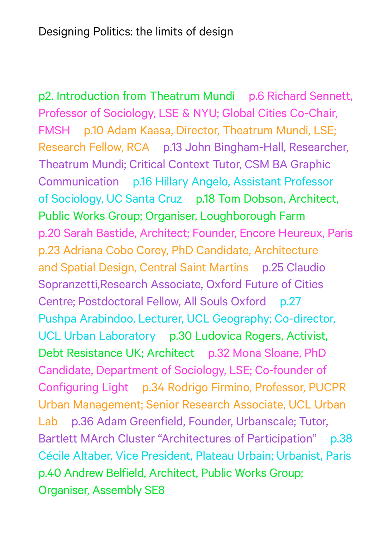p2. Introduction from Theatrum Mundi p.6 Richard Sennett, Professor of Sociology, LSE & NYU; Global Cities Co-Chair, FMSH p.10 Adam Kaasa, Director, Theatrum Mundi, LSE; Research Fellow, RCA p.13 John Bingham-Hall, Researcher, Theatrum Mundi; Critical Context Tutor, CSM BA Graphic Communication p.16 Hillary Angelo, Assistant Professor of Sociology, UC Santa Cruz p.18 Tom Dobson, Architect, Public Works Group; Organiser, Loughborough Farm p.20 Sarah Bastide, Architect; Founder, Encore Heureux, Paris p.23 Adriana Cobo Corey, PhD Candidate, Architecture and Spatial Design, Central Saint Martins p.25 Claudio Sopranzetti,Research Associate, Oxford Future of Cities Centre; Postdoctoral Fellow, All Souls Oxford p.27 Pushpa Arabindoo, Lecturer, UCL Geography; Co-director, UCL Urban Laboratory p.30 Ludovica Rogers, Activist, Debt Resistance UK; Architect p.32 Mona Sloane, PhD Candidate, Department of Sociology, LSE; Co-founder of Configuring Light p.34 Rodrigo Firmino, Professor, PUCPR Urban Management; Senior Research Associate, UCL Urban Lab p.36 Adam Greenfield, Founder, Urbanscale; Tutor, Bartlett MArch Cluster "Architectures of Participation" p.38 Cécile Altaber, Vice President, Plateau Urbain; Urbanist, Paris p.40 Andrew Belfield, Architect, Public Works Group; Organiser, Assembly SE8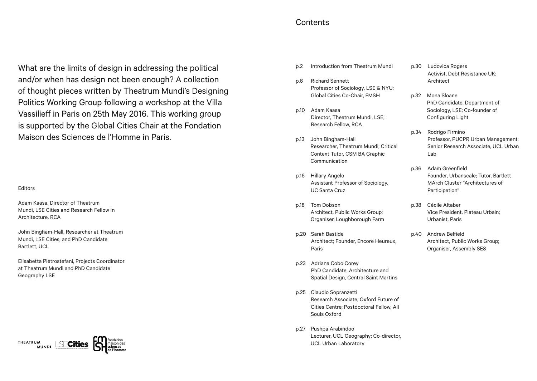## **Contents**

What are the limits of design in addressing the political and/or when has design not been enough? A collection of thought pieces written by Theatrum Mundi's Designing Politics Working Group following a workshop at the Villa Vassilieff in Paris on 25th May 2016. This working group is supported by the Global Cities Chair at the Fondation Maison des Sciences de l'Homme in Paris.

## Editors

Adam Kaasa, Director of Theatrum Mundi, LSE Cities and Research Fellow in Architecture, RCA

John Bingham-Hall, Researcher at Theatrum Mundi, LSE Cities, and PhD Candidate Bartlett, UCL

Elisabetta Pietrostefani, Projects Coordinator at Theatrum Mundi and PhD Candidate Geography LSE

## **THEATRUM**

- p.2 Introduction from Theatrum Mundi
- p.6 Richard Sennett Professor of Sociology, LSE & NYU; Global Cities Co-Chair, FMSH
- p.10 Adam Kaasa Director, Theatrum Mundi, LSE; Research Fellow, RCA
- p.13 John Bingham-Hall Researcher, Theatrum Mundi; Critical Context Tutor, CSM BA Graphic Communication
- p.16 Hillary Angelo Assistant Professor of Sociology, UC Santa Cruz
- p.18 Tom Dobson Architect, Public Works Group; Organiser, Loughborough Farm
- p.20 Sarah Bastide Architect; Founder, Encore Heureux, Paris
- p.23 Adriana Cobo Corey PhD Candidate, Architecture and Spatial Design, Central Saint Martins
- p.25 Claudio Sopranzetti Research Associate, Oxford Future of Cities Centre; Postdoctoral Fellow, All Souls Oxford
- p.27 Pushpa Arabindoo Lecturer, UCL Geography; Co-director, UCL Urban Laboratory
- p.30 Ludovica Rogers Activist, Debt Resistance UK; Architect
- p.32 Mona Sloane PhD Candidate, Department of Sociology, LSE; Co-founder of Configuring Light
- p.34 Rodrigo Firmino Professor, PUCPR Urban Management; Senior Research Associate, UCL Urban Lab
- p.36 Adam Greenfield Founder, Urbanscale; Tutor, Bartlett MArch Cluster "Architectures of Participation"
- p.38 Cécile Altaber Vice President, Plateau Urbain; Urbanist, Paris
- p.40 Andrew Belfield Architect, Public Works Group; Organiser, Assembly SE8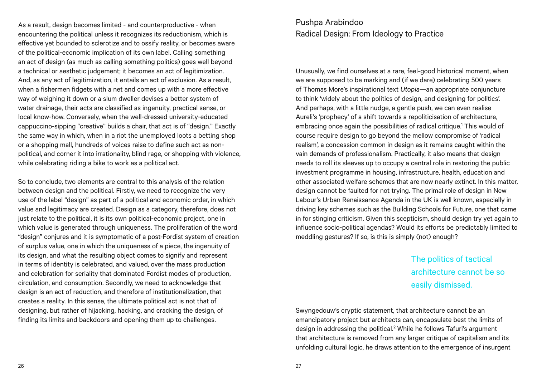As a result, design becomes limited - and counterproductive - when encountering the political unless it recognizes its reductionism, which is effective yet bounded to sclerotize and to ossify reality, or becomes aware of the political-economic implication of its own label. Calling something an act of design (as much as calling something politics) goes well beyond a technical or aesthetic judgement; it becomes an act of legitimization. And, as any act of legitimization, it entails an act of exclusion. As a result, when a fishermen fidgets with a net and comes up with a more effective way of weighing it down or a slum dweller devises a better system of water drainage, their acts are classified as ingenuity, practical sense, or local know-how. Conversely, when the well-dressed university-educated cappuccino-sipping "creative" builds a chair, that act is of "design." Exactly the same way in which, when in a riot the unemployed loots a betting shop or a shopping mall, hundreds of voices raise to define such act as nonpolitical, and corner it into irrationality, blind rage, or shopping with violence, while celebrating riding a bike to work as a political act.

So to conclude, two elements are central to this analysis of the relation between design and the political. Firstly, we need to recognize the very use of the label "design" as part of a political and economic order, in which value and legitimacy are created. Design as a category, therefore, does not just relate to the political, it is its own political-economic project, one in which value is generated through uniqueness. The proliferation of the word "design" conjures and it is symptomatic of a post-Fordist system of creation of surplus value, one in which the uniqueness of a piece, the ingenuity of its design, and what the resulting object comes to signify and represent in terms of identity is celebrated, and valued, over the mass production and celebration for seriality that dominated Fordist modes of production, circulation, and consumption. Secondly, we need to acknowledge that design is an act of reduction, and therefore of institutionalization, that creates a reality. In this sense, the ultimate political act is not that of designing, but rather of hijacking, hacking, and cracking the design, of finding its limits and backdoors and opening them up to challenges.

## Pushpa Arabindoo Radical Design: From Ideology to Practice

Unusually, we find ourselves at a rare, feel-good historical moment, when we are supposed to be marking and (if we dare) celebrating 500 years of Thomas More's inspirational text *Utopia*—an appropriate conjuncture to think 'widely about the politics of design, and designing for politics'. And perhaps, with a little nudge, a gentle push, we can even realise Aureli's 'prophecy' of a shift towards a repoliticisation of architecture, embracing once again the possibilities of radical critique.<sup>1</sup> This would of course require design to go beyond the mellow compromise of 'radical realism', a concession common in design as it remains caught within the vain demands of professionalism. Practically, it also means that design needs to roll its sleeves up to occupy a central role in restoring the public investment programme in housing, infrastructure, health, education and other associated welfare schemes that are now nearly extinct. In this matter, design cannot be faulted for not trying. The primal role of design in New Labour's Urban Renaissance Agenda in the UK is well known, especially in driving key schemes such as the Building Schools for Future, one that came in for stinging criticism. Given this scepticism, should design try yet again to influence socio-political agendas? Would its efforts be predictably limited to meddling gestures? If so, is this is simply (not) enough?

> The politics of tactical architecture cannot be so easily dismissed.

Swyngedouw's cryptic statement, that architecture cannot be an emancipatory project but architects can, encapsulate best the limits of design in addressing the political.<sup>2</sup> While he follows Tafuri's argument that architecture is removed from any larger critique of capitalism and its unfolding cultural logic, he draws attention to the emergence of insurgent